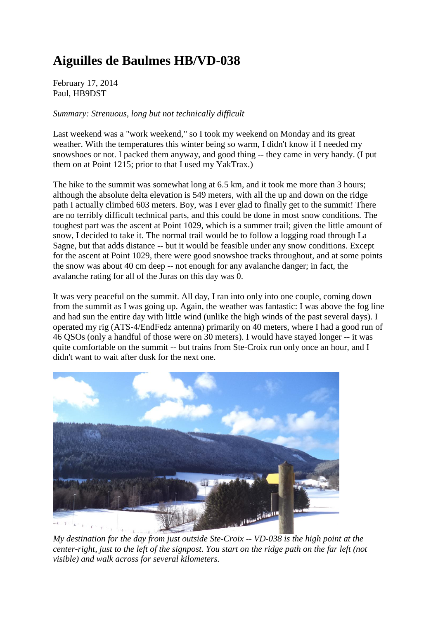## **Aiguilles de Baulmes HB/VD-038**

February 17, 2014 Paul, HB9DST

*Summary: Strenuous, long but not technically difficult*

Last weekend was a "work weekend," so I took my weekend on Monday and its great weather. With the temperatures this winter being so warm, I didn't know if I needed my snowshoes or not. I packed them anyway, and good thing -- they came in very handy. (I put them on at Point 1215; prior to that I used my YakTrax.)

The hike to the summit was somewhat long at 6.5 km, and it took me more than 3 hours; although the absolute delta elevation is 549 meters, with all the up and down on the ridge path I actually climbed 603 meters. Boy, was I ever glad to finally get to the summit! There are no terribly difficult technical parts, and this could be done in most snow conditions. The toughest part was the ascent at Point 1029, which is a summer trail; given the little amount of snow, I decided to take it. The normal trail would be to follow a logging road through La Sagne, but that adds distance -- but it would be feasible under any snow conditions. Except for the ascent at Point 1029, there were good snowshoe tracks throughout, and at some points the snow was about 40 cm deep -- not enough for any avalanche danger; in fact, the avalanche rating for all of the Juras on this day was 0.

It was very peaceful on the summit. All day, I ran into only into one couple, coming down from the summit as I was going up. Again, the weather was fantastic: I was above the fog line and had sun the entire day with little wind (unlike the high winds of the past several days). I operated my rig (ATS-4/EndFedz antenna) primarily on 40 meters, where I had a good run of 46 QSOs (only a handful of those were on 30 meters). I would have stayed longer -- it was quite comfortable on the summit -- but trains from Ste-Croix run only once an hour, and I didn't want to wait after dusk for the next one.



*My destination for the day from just outside Ste-Croix -- VD-038 is the high point at the center-right, just to the left of the signpost. You start on the ridge path on the far left (not visible) and walk across for several kilometers.*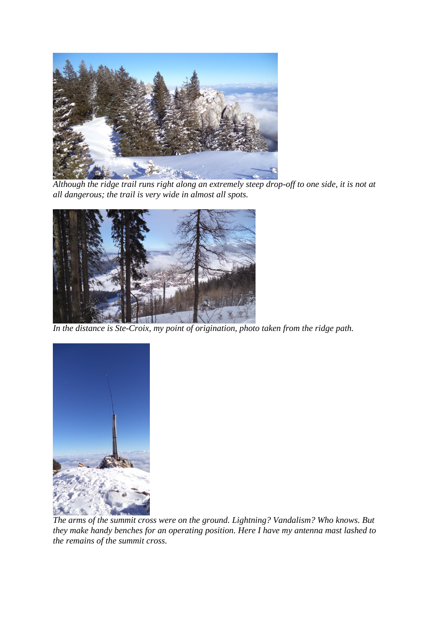

*Although the ridge trail runs right along an extremely steep drop-off to one side, it is not at all dangerous; the trail is very wide in almost all spots.*



*In the distance is Ste-Croix, my point of origination, photo taken from the ridge path.*



*The arms of the summit cross were on the ground. Lightning? Vandalism? Who knows. But they make handy benches for an operating position. Here I have my antenna mast lashed to the remains of the summit cross.*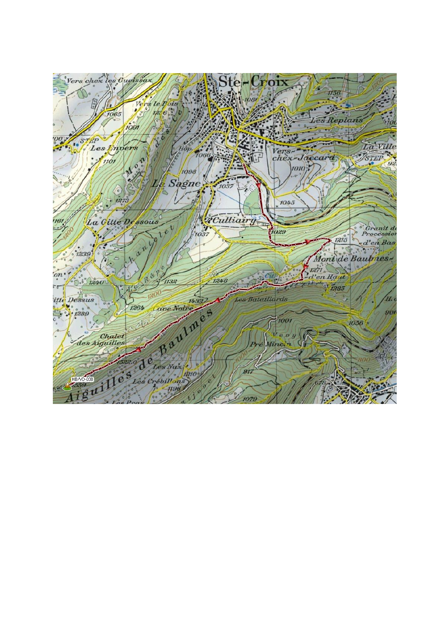